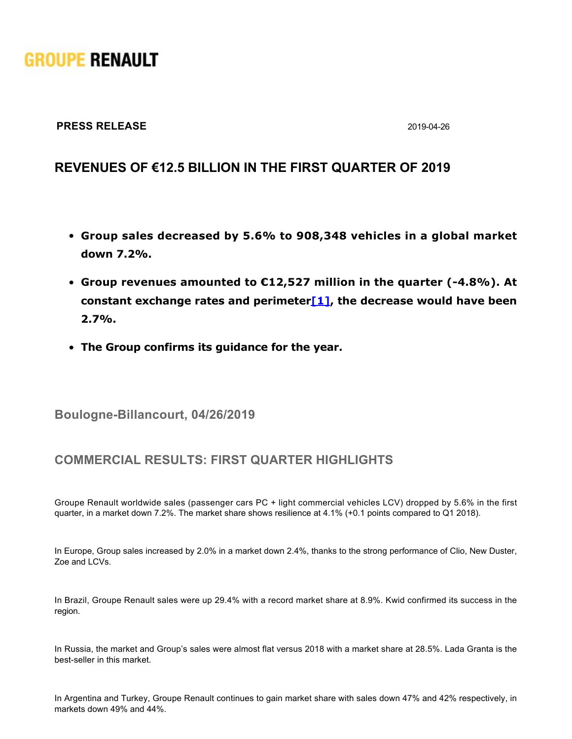# **GROUPE RENAULT**

### **PRESS RELEASE** 2019-04-26

# **REVENUES OF €12.5 BILLION IN THE FIRST QUARTER OF 2019**

- **Group sales decreased by 5.6% to 908,348 vehicles in a global market down 7.2%.**
- **Group revenues amounted to €12,527 million in the quarter (-4.8%). At constant exchange rates and perimete[r\[1\],](https://grouperenault-my.sharepoint.com/personal/laura-anissa_casellas-extern_renault_com/Documents/Publications/Communiqu�s/2504 - CP R�sultats Q1/20190426__PR Results Q1 2019.docx#_ftn1) the decrease would have been 2.7%.**
- **The Group confirms its guidance for the year.**

**Boulogne-Billancourt, 04/26/2019** 

# **COMMERCIAL RESULTS: FIRST QUARTER HIGHLIGHTS**

Groupe Renault worldwide sales (passenger cars PC + light commercial vehicles LCV) dropped by 5.6% in the first quarter, in a market down 7.2%. The market share shows resilience at 4.1% (+0.1 points compared to Q1 2018).

In Europe, Group sales increased by 2.0% in a market down 2.4%, thanks to the strong performance of Clio, New Duster, Zoe and LCVs.

In Brazil, Groupe Renault sales were up 29.4% with a record market share at 8.9%. Kwid confirmed its success in the region.

In Russia, the market and Group's sales were almost flat versus 2018 with a market share at 28.5%. Lada Granta is the best-seller in this market.

In Argentina and Turkey, Groupe Renault continues to gain market share with sales down 47% and 42% respectively, in markets down 49% and 44%.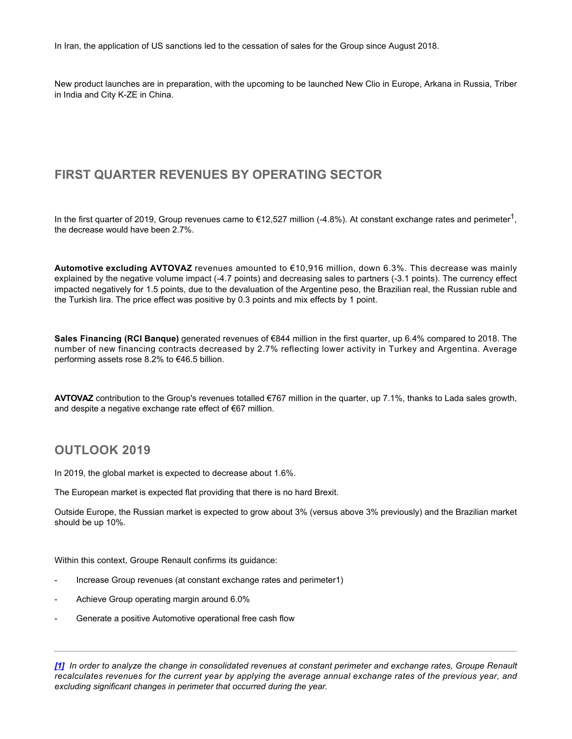In Iran, the application of US sanctions led to the cessation of sales for the Group since August 2018.

New product launches are in preparation, with the upcoming to be launched New Clio in Europe, Arkana in Russia, Triber in India and City K-ZE in China.

## **FIRST QUARTER REVENUES BY OPERATING SECTOR**

In the first quarter of 2019, Group revenues came to €12,527 million (-4.8%). At constant exchange rates and perimeter<sup>1</sup>, the decrease would have been 2.7%.

**Automotive excluding AVTOVAZ** revenues amounted to €10,916 million, down 6.3%. This decrease was mainly explained by the negative volume impact (-4.7 points) and decreasing sales to partners (-3.1 points). The currency effect impacted negatively for 1.5 points, due to the devaluation of the Argentine peso, the Brazilian real, the Russian ruble and the Turkish lira. The price effect was positive by 0.3 points and mix effects by 1 point.

**Sales Financing (RCI Banque)** generated revenues of €844 million in the first quarter, up 6.4% compared to 2018. The number of new financing contracts decreased by 2.7% reflecting lower activity in Turkey and Argentina. Average performing assets rose 8.2% to €46.5 billion.

**AVTOVAZ** contribution to the Group's revenues totalled €767 million in the quarter, up 7.1%, thanks to Lada sales growth, and despite a negative exchange rate effect of €67 million.

## **OUTLOOK 2019**

In 2019, the global market is expected to decrease about 1.6%.

The European market is expected flat providing that there is no hard Brexit.

Outside Europe, the Russian market is expected to grow about 3% (versus above 3% previously) and the Brazilian market should be up 10%.

Within this context, Groupe Renault confirms its guidance:

- Increase Group revenues (at constant exchange rates and perimeter1)
- Achieve Group operating margin around 6.0%
- Generate a positive Automotive operational free cash flow

*[\[1\]](https://grouperenault-my.sharepoint.com/personal/laura-anissa_casellas-extern_renault_com/Documents/Publications/Communiqu�s/2504 - CP R�sultats Q1/20190426__PR Results Q1 2019.docx#_ftnref1) In order to analyze the change in consolidated revenues at constant perimeter and exchange rates, Groupe Renault recalculates revenues for the current year by applying the average annual exchange rates of the previous year, and excluding significant changes in perimeter that occurred during the year.*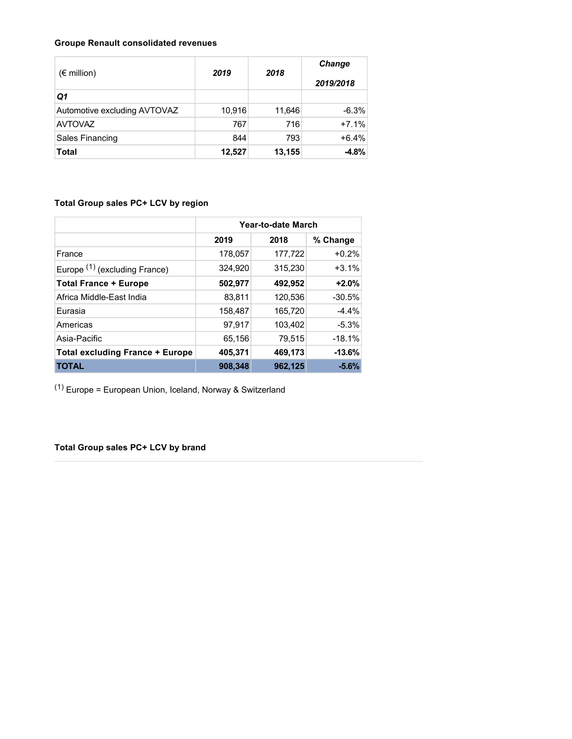#### **Groupe Renault consolidated revenues**

| $(\epsilon$ million)         | 2019   | 2018   | Change<br>2019/2018 |
|------------------------------|--------|--------|---------------------|
| Q1                           |        |        |                     |
| Automotive excluding AVTOVAZ | 10,916 | 11,646 | $-6.3%$             |
| <b>AVTOVAZ</b>               | 767    | 716    | $+7.1%$             |
| <b>Sales Financing</b>       | 844    | 793    | $+6.4%$             |
| <b>Total</b>                 | 12,527 | 13,155 | $-4.8%$             |

### **Total Group sales PC+ LCV by region**

|                                          | Year-to-date March |         |          |
|------------------------------------------|--------------------|---------|----------|
|                                          | 2019               | 2018    | % Change |
| France                                   | 178,057            | 177,722 | $+0.2%$  |
| Europe <sup>(1)</sup> (excluding France) | 324,920            | 315,230 | $+3.1%$  |
| <b>Total France + Europe</b>             | 502,977            | 492,952 | $+2.0%$  |
| Africa Middle-East India                 | 83,811             | 120,536 | $-30.5%$ |
| Eurasia                                  | 158,487            | 165,720 | $-4.4%$  |
| Americas                                 | 97,917             | 103,402 | $-5.3%$  |
| Asia-Pacific                             | 65,156             | 79,515  | $-18.1%$ |
| <b>Total excluding France + Europe</b>   | 405,371            | 469,173 | $-13.6%$ |
| <b>TOTAL</b>                             | 908,348            | 962,125 | $-5.6%$  |

 $(1)$  Europe = European Union, Iceland, Norway & Switzerland

**Total Group sales PC+ LCV by brand**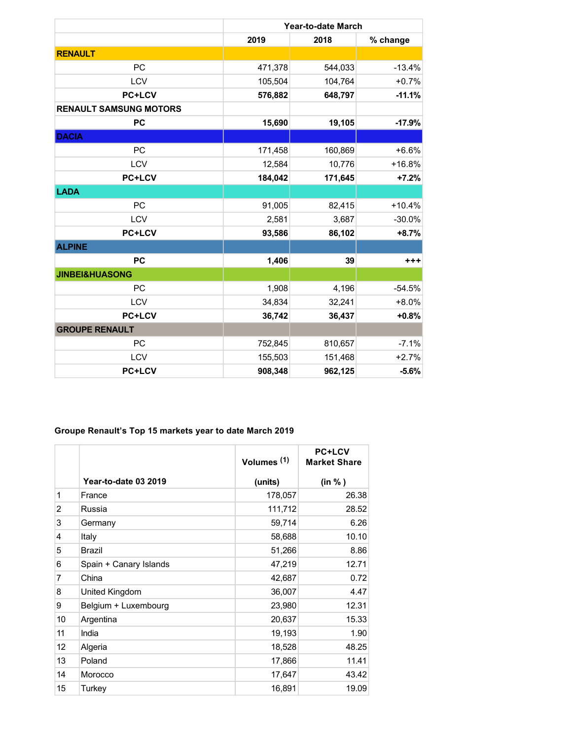|                               | Year-to-date March |         |          |
|-------------------------------|--------------------|---------|----------|
|                               | 2019               | 2018    | % change |
| <b>RENAULT</b>                |                    |         |          |
| <b>PC</b>                     | 471,378            | 544,033 | $-13.4%$ |
| <b>LCV</b>                    | 105,504            | 104,764 | $+0.7%$  |
| <b>PC+LCV</b>                 | 576,882            | 648,797 | $-11.1%$ |
| <b>RENAULT SAMSUNG MOTORS</b> |                    |         |          |
| <b>PC</b>                     | 15,690             | 19,105  | $-17.9%$ |
| <b>DACIA</b>                  |                    |         |          |
| <b>PC</b>                     | 171,458            | 160,869 | $+6.6%$  |
| LCV                           | 12,584             | 10,776  | $+16.8%$ |
| <b>PC+LCV</b>                 | 184,042            | 171,645 | $+7.2%$  |
| <b>LADA</b>                   |                    |         |          |
| <b>PC</b>                     | 91,005             | 82,415  | $+10.4%$ |
| LCV                           | 2,581              | 3,687   | $-30.0%$ |
| <b>PC+LCV</b>                 | 93,586             | 86,102  | $+8.7%$  |
| <b>ALPINE</b>                 |                    |         |          |
| <b>PC</b>                     | 1,406              | 39      | +++      |
| <b>JINBEI&amp;HUASONG</b>     |                    |         |          |
| <b>PC</b>                     | 1,908              | 4,196   | $-54.5%$ |
| LCV                           | 34,834             | 32,241  | $+8.0%$  |
| <b>PC+LCV</b>                 | 36,742             | 36,437  | $+0.8%$  |
| <b>GROUPE RENAULT</b>         |                    |         |          |
| PC                            | 752,845            | 810,657 | $-7.1%$  |
| LCV                           | 155,503            | 151,468 | $+2.7%$  |
| <b>PC+LCV</b>                 | 908,348            | 962,125 | $-5.6%$  |

#### **Groupe Renault's Top 15 markets year to date March 2019**

|    |                             | Volumes <sup>(1)</sup> | <b>PC+LCV</b><br><b>Market Share</b> |
|----|-----------------------------|------------------------|--------------------------------------|
|    | <b>Year-to-date 03 2019</b> | (units)                | (in %)                               |
| 1  | France                      | 178,057                | 26.38                                |
| 2  | Russia                      | 111,712                | 28.52                                |
| 3  | Germany                     | 59,714                 | 6.26                                 |
| 4  | Italy                       | 58,688                 | 10.10                                |
| 5  | <b>Brazil</b>               | 51,266                 | 8.86                                 |
| 6  | Spain + Canary Islands      | 47,219                 | 12.71                                |
| 7  | China                       | 42,687                 | 0.72                                 |
| 8  | United Kingdom              | 36,007                 | 4.47                                 |
| 9  | Belgium + Luxembourg        | 23,980                 | 12.31                                |
| 10 | Argentina                   | 20,637                 | 15.33                                |
| 11 | India                       | 19,193                 | 1.90                                 |
| 12 | Algeria                     | 18,528                 | 48.25                                |
| 13 | Poland                      | 17,866                 | 11.41                                |
| 14 | Morocco                     | 17,647                 | 43.42                                |
| 15 | Turkey                      | 16,891                 | 19.09                                |